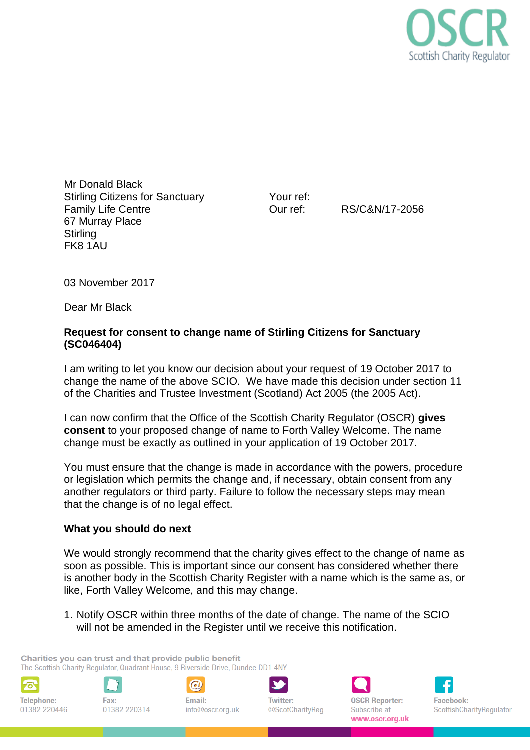

Mr Donald Black Stirling Citizens for Sanctuary Family Life Centre 67 Murray Place **Stirling** FK8 1AU

Your ref:

Our ref: RS/C&N/17-2056

03 November 2017

Dear Mr Black

# **Request for consent to change name of Stirling Citizens for Sanctuary (SC046404)**

I am writing to let you know our decision about your request of 19 October 2017 to change the name of the above SCIO. We have made this decision under section 11 of the Charities and Trustee Investment (Scotland) Act 2005 (the 2005 Act).

I can now confirm that the Office of the Scottish Charity Regulator (OSCR) **gives consent** to your proposed change of name to Forth Valley Welcome. The name change must be exactly as outlined in your application of 19 October 2017.

You must ensure that the change is made in accordance with the powers, procedure or legislation which permits the change and, if necessary, obtain consent from any another regulators or third party. Failure to follow the necessary steps may mean that the change is of no legal effect.

## **What you should do next**

We would strongly recommend that the charity gives effect to the change of name as soon as possible. This is important since our consent has considered whether there is another body in the Scottish Charity Register with a name which is the same as, or like, Forth Valley Welcome, and this may change.

1. Notify OSCR within three months of the date of change. The name of the SCIO will not be amended in the Register until we receive this notification.

Charities you can trust and that provide public benefit The Scottish Charity Regulator, Quadrant House, 9 Riverside Drive, Dundee DD1 4NY



**Telephone:** 01382 220446







**OSCR Reporter:** Subscribe at www.oscr.org.uk

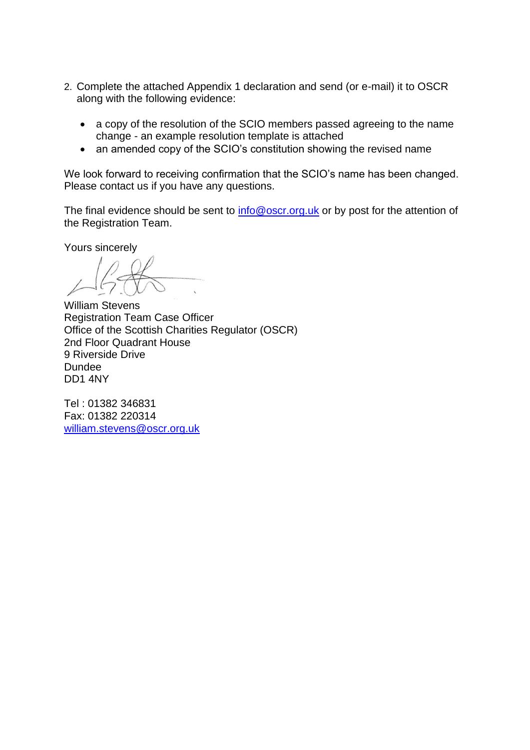- 2. Complete the attached Appendix 1 declaration and send (or e-mail) it to OSCR along with the following evidence:
	- a copy of the resolution of the SCIO members passed agreeing to the name change - an example resolution template is attached
	- an amended copy of the SCIO's constitution showing the revised name

We look forward to receiving confirmation that the SCIO's name has been changed. Please contact us if you have any questions.

The final evidence should be sent to [info@oscr.org.uk](mailto:info@oscr.org.uk) or by post for the attention of the Registration Team.

Yours sincerely

William Stevens Registration Team Case Officer Office of the Scottish Charities Regulator (OSCR) 2nd Floor Quadrant House 9 Riverside Drive Dundee DD1 4NY

Tel : 01382 346831 Fax: 01382 220314 [william.stevens@oscr.org.uk](mailto:william.stevens@oscr.org.uk)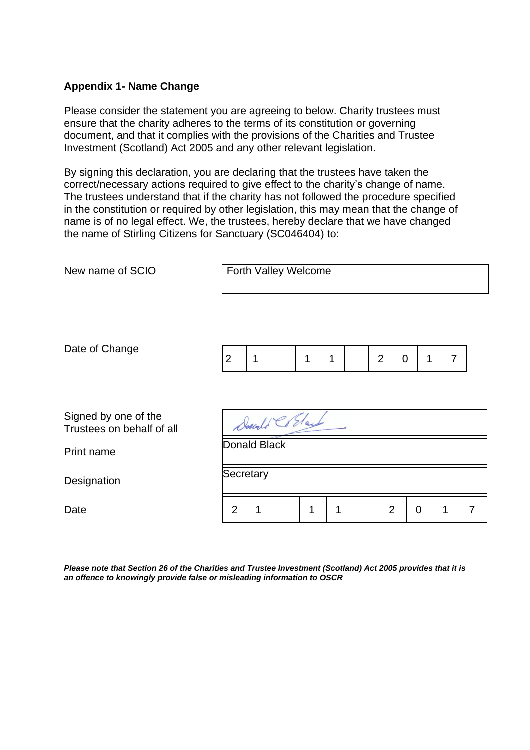## **Appendix 1- Name Change**

Please consider the statement you are agreeing to below. Charity trustees must ensure that the charity adheres to the terms of its constitution or governing document, and that it complies with the provisions of the Charities and Trustee Investment (Scotland) Act 2005 and any other relevant legislation.

By signing this declaration, you are declaring that the trustees have taken the correct/necessary actions required to give effect to the charity's change of name. The trustees understand that if the charity has not followed the procedure specified in the constitution or required by other legislation, this may mean that the change of name is of no legal effect. We, the trustees, hereby declare that we have changed the name of Stirling Citizens for Sanctuary (SC046404) to:

| New name of SCIO                                  | Forth Valley Welcome |   |  |   |   |  |                |                  |                |   |
|---------------------------------------------------|----------------------|---|--|---|---|--|----------------|------------------|----------------|---|
| Date of Change                                    | $\overline{2}$       | 1 |  | 1 | 1 |  | $\overline{2}$ | 1<br>$\mathbf 0$ | $\overline{7}$ |   |
|                                                   |                      |   |  |   |   |  |                |                  |                |   |
| Signed by one of the<br>Trustees on behalf of all | Donald Collars       |   |  |   |   |  |                |                  |                |   |
| Print name                                        | Donald Black         |   |  |   |   |  |                |                  |                |   |
| Designation                                       | Secretary            |   |  |   |   |  |                |                  |                |   |
| Date                                              | $\overline{2}$       | 1 |  | 1 | 1 |  | $\overline{2}$ | $\mathbf 0$      | 1              | 7 |

*Please note that Section 26 of the Charities and Trustee Investment (Scotland) Act 2005 provides that it is an offence to knowingly provide false or misleading information to OSCR*